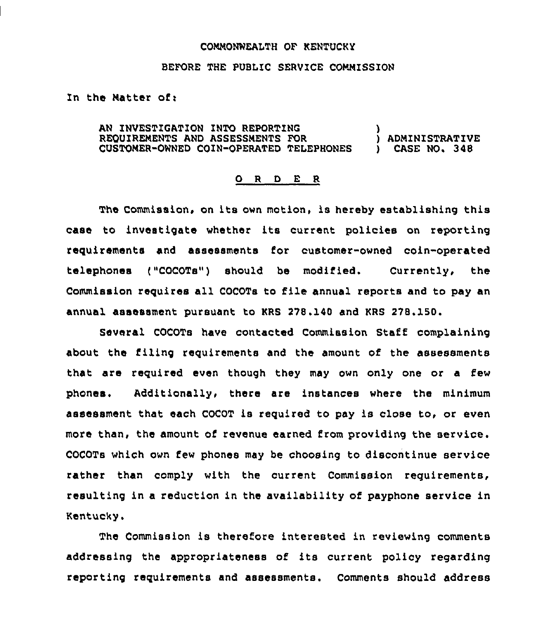## COMMONWEALTH OF KENTUCKY

## BEFORE THE PUBLIC SERVICE COMMISSION

In the Hatter of:

AN INVESTIGATION INTO REPORTING REQUIREMENTS AND ASSESSHENTS FOR ) ADMINISTRATIVE CUSTOMER-OWNED COIN-OPERATED TELEPHONES

## 0 <sup>R</sup> <sup>D</sup> E <sup>R</sup>

The Commission, on its own motion, is hereby establishing this case to investigate whether its current policies on reporting requirements and assessments for customer-owned coin-operated telephones ("COCOTs") should be modified, Currently, the Commission requires all COCOTs to file annual reports and to pay an annual assessment pursuant to KRS 278,140 and KRS 278.150.

Several COCOTs have contacted Commission Staff complaining about the filing requirements and the amount of the assessments that are required even though they may own only one or a few phones, Additionally, there are instances where the minimum assessment that each COCOT is required to pay is close to, or even more than, the amount of revenue earned from providing the service. COCOTs which own few phones may be choosing to discontinue service rather than comply with the current Commission requirements, resulting in a reduction in the availability of payphone service in Kentucky.

The Commission is therefore interested in reviewing comments addressing the appropriateness of its current policy regarding reporting requirements and assessments. Comments should address